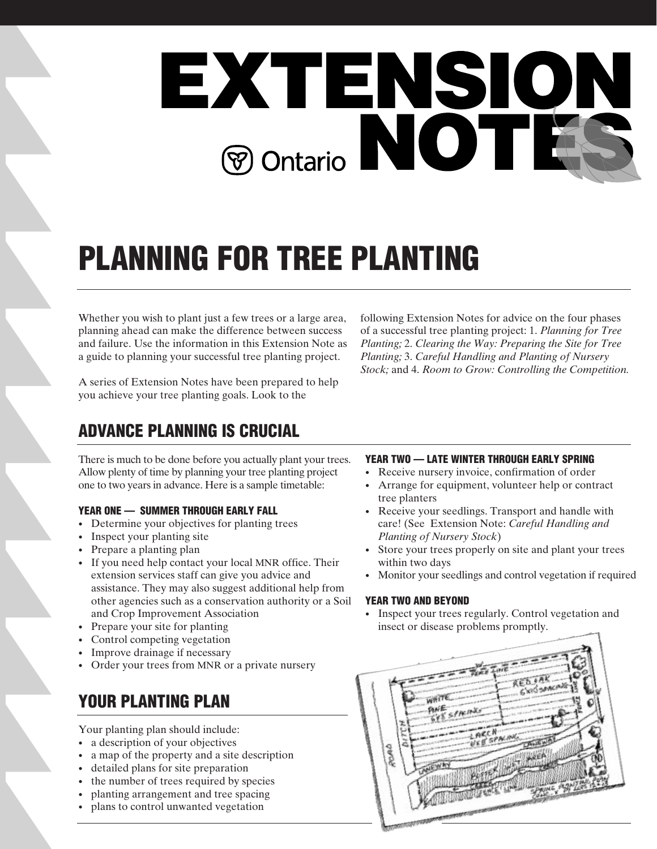

# **PLANNING FOR TREE PLANTING**

Whether you wish to plant just a few trees or a large area, planning ahead can make the difference between success and failure. Use the information in this Extension Note as a guide to planning your successful tree planting project.

A series of Extension Notes have been prepared to help you achieve your tree planting goals. Look to the

following Extension Notes for advice on the four phases of a successful tree planting project: 1. *Planning for Tree Planting;* 2. *Clearing the Way: Preparing the Site for Tree Planting;* 3. *Careful Handling and Planting of Nursery Stock;* and 4. *Room to Grow: Controlling the Competition.* 

# **ADVANCE PLANNING IS CRUCIAL**

There is much to be done before you actually plant your trees. Allow plenty of time by planning your tree planting project one to two years in advance. Here is a sample timetable:

### **YEAR ONE — SUMMER THROUGH EARLY FALL**

- Determine your objectives for planting trees
- Inspect your planting site
- Prepare a planting plan
- If you need help contact your local MNR office. Their extension services staff can give you advice and assistance. They may also suggest additional help from other agencies such as a conservation authority or a Soil and Crop Improvement Association
- Prepare your site for planting
- Control competing vegetation
- Improve drainage if necessary
- Order your trees from MNR or a private nursery

# **YOUR PLANTING PLAN**

Your planting plan should include:

- a description of your objectives
- a map of the property and a site description
- detailed plans for site preparation
- the number of trees required by species
- planting arrangement and tree spacing
- plans to control unwanted vegetation

### **YEAR TWO — LATE WINTER THROUGH EARLY SPRING**

- Receive nursery invoice, confirmation of order
- Arrange for equipment, volunteer help or contract tree planters
- Receive your seedlings. Transport and handle with care! (See Extension Note: *Careful Handling and Planting of Nursery Stock*)
- Store your trees properly on site and plant your trees within two days
- Monitor your seedlings and control vegetation if required

### **YEAR TWO AND BEYOND**

• Inspect your trees regularly. Control vegetation and insect or disease problems promptly.

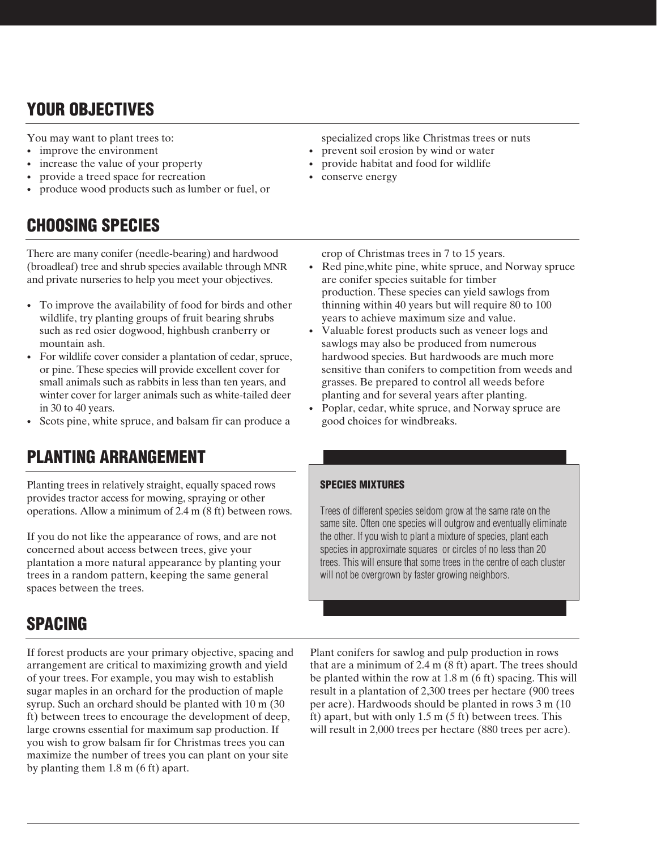# **YOUR OBJECTIVES**

You may want to plant trees to:

- improve the environment
- increase the value of your property
- provide a treed space for recreation
- produce wood products such as lumber or fuel, or

# **CHOOSING SPECIES**

There are many conifer (needle-bearing) and hardwood (broadleaf) tree and shrub species available through MNR and private nurseries to help you meet your objectives.

- To improve the availability of food for birds and other wildlife, try planting groups of fruit bearing shrubs such as red osier dogwood, highbush cranberry or mountain ash.
- For wildlife cover consider a plantation of cedar, spruce, or pine. These species will provide excellent cover for small animals such as rabbits in less than ten years, and winter cover for larger animals such as white-tailed deer in 30 to 40 years.
- Scots pine, white spruce, and balsam fir can produce a

# **PLANTING ARRANGEMENT**

Planting trees in relatively straight, equally spaced rows provides tractor access for mowing, spraying or other operations. Allow a minimum of 2.4 m (8 ft) between rows.

If you do not like the appearance of rows, and are not concerned about access between trees, give your plantation a more natural appearance by planting your trees in a random pattern, keeping the same general spaces between the trees.

# **SPACING**

If forest products are your primary objective, spacing and arrangement are critical to maximizing growth and yield of your trees. For example, you may wish to establish sugar maples in an orchard for the production of maple syrup. Such an orchard should be planted with 10 m (30 ft) between trees to encourage the development of deep, large crowns essential for maximum sap production. If you wish to grow balsam fir for Christmas trees you can maximize the number of trees you can plant on your site by planting them 1.8 m (6 ft) apart.

specialized crops like Christmas trees or nuts

- prevent soil erosion by wind or water
- provide habitat and food for wildlife
- conserve energy
	- crop of Christmas trees in 7 to 15 years.
- Red pine,white pine, white spruce, and Norway spruce are conifer species suitable for timber production. These species can yield sawlogs from thinning within 40 years but will require 80 to 100 years to achieve maximum size and value.
- Valuable forest products such as veneer logs and sawlogs may also be produced from numerous hardwood species. But hardwoods are much more sensitive than conifers to competition from weeds and grasses. Be prepared to control all weeds before planting and for several years after planting.
- Poplar, cedar, white spruce, and Norway spruce are good choices for windbreaks.

### **SPECIES MIXTURES**

Trees of different species seldom grow at the same rate on the same site. Often one species will outgrow and eventually eliminate the other. If you wish to plant a mixture of species, plant each species in approximate squares or circles of no less than 20 trees. This will ensure that some trees in the centre of each cluster will not be overgrown by faster growing neighbors.

Plant conifers for sawlog and pulp production in rows that are a minimum of  $2.4 \text{ m}$  ( $8 \text{ ft}$ ) apart. The trees should be planted within the row at 1.8 m (6 ft) spacing. This will result in a plantation of 2,300 trees per hectare (900 trees per acre). Hardwoods should be planted in rows 3 m (10 ft) apart, but with only  $1.5 \text{ m}$  (5 ft) between trees. This will result in 2,000 trees per hectare (880 trees per acre).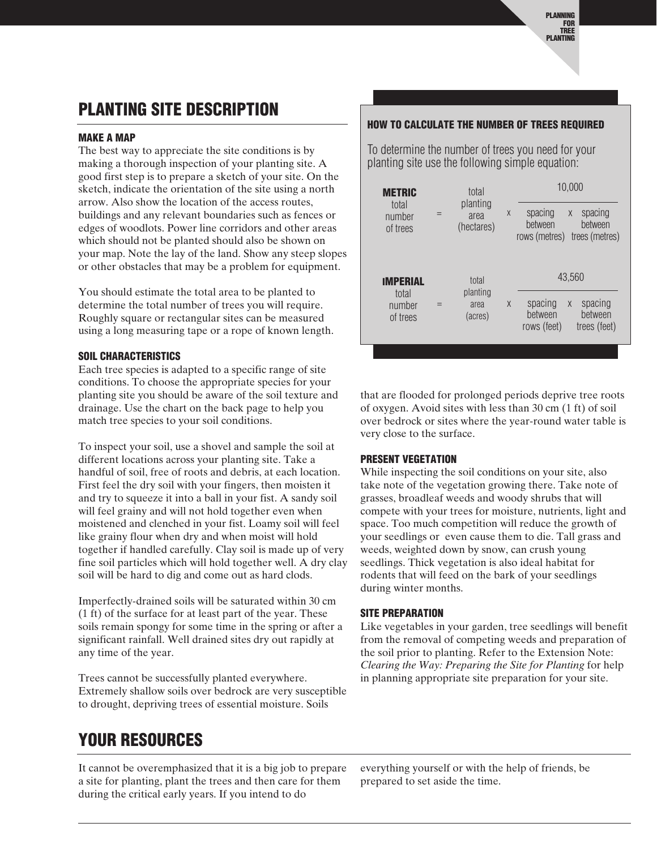# **PLANTING SITE DESCRIPTION**

### **MAKE A MAP**

The best way to appreciate the site conditions is by making a thorough inspection of your planting site. A good first step is to prepare a sketch of your site. On the sketch, indicate the orientation of the site using a north arrow. Also show the location of the access routes, buildings and any relevant boundaries such as fences or edges of woodlots. Power line corridors and other areas which should not be planted should also be shown on your map. Note the lay of the land. Show any steep slopes or other obstacles that may be a problem for equipment.

You should estimate the total area to be planted to determine the total number of trees you will require. Roughly square or rectangular sites can be measured using a long measuring tape or a rope of known length.

### **SOIL CHARACTERISTICS**

Each tree species is adapted to a specific range of site conditions. To choose the appropriate species for your planting site you should be aware of the soil texture and drainage. Use the chart on the back page to help you match tree species to your soil conditions.

To inspect your soil, use a shovel and sample the soil at different locations across your planting site. Take a handful of soil, free of roots and debris, at each location. First feel the dry soil with your fingers, then moisten it and try to squeeze it into a ball in your fist. A sandy soil will feel grainy and will not hold together even when moistened and clenched in your fist. Loamy soil will feel like grainy flour when dry and when moist will hold together if handled carefully. Clay soil is made up of very fine soil particles which will hold together well. A dry clay soil will be hard to dig and come out as hard clods.

Imperfectly-drained soils will be saturated within 30 cm (1 ft) of the surface for at least part of the year. These soils remain spongy for some time in the spring or after a significant rainfall. Well drained sites dry out rapidly at any time of the year.

Trees cannot be successfully planted everywhere. Extremely shallow soils over bedrock are very susceptible to drought, depriving trees of essential moisture. Soils

### **HOW TO CALCULATE THE NUMBER OF TREES REQUIRED**

To determine the number of trees you need for your planting site use the following simple equation:

| <b>METRIC</b><br>total<br>number<br>of trees   | Ξ | total<br>planting<br>area<br>(hectares) | $\chi$ | 10,000<br>spacing<br>spacing<br>X<br>between<br>between<br>trees (metres)<br>rows (metres) |
|------------------------------------------------|---|-----------------------------------------|--------|--------------------------------------------------------------------------------------------|
| <b>IMPERIAL</b><br>total<br>number<br>of trees |   | total<br>planting<br>area<br>(acres)    | $\chi$ | 43,560<br>spacing<br>spacing<br>X<br>between<br>between<br>rows (feet)<br>trees (feet)     |

that are flooded for prolonged periods deprive tree roots of oxygen. Avoid sites with less than 30 cm (1 ft) of soil over bedrock or sites where the year-round water table is very close to the surface.

### **PRESENT VEGETATION**

While inspecting the soil conditions on your site, also take note of the vegetation growing there. Take note of grasses, broadleaf weeds and woody shrubs that will compete with your trees for moisture, nutrients, light and space. Too much competition will reduce the growth of your seedlings or even cause them to die. Tall grass and weeds, weighted down by snow, can crush young seedlings. Thick vegetation is also ideal habitat for rodents that will feed on the bark of your seedlings during winter months.

### **SITE PREPARATION**

Like vegetables in your garden, tree seedlings will benefit from the removal of competing weeds and preparation of the soil prior to planting. Refer to the Extension Note: *Clearing the Way: Preparing the Site for Planting* for help in planning appropriate site preparation for your site.

# **YOUR RESOURCES**

It cannot be overemphasized that it is a big job to prepare a site for planting, plant the trees and then care for them during the critical early years. If you intend to do

everything yourself or with the help of friends, be prepared to set aside the time.